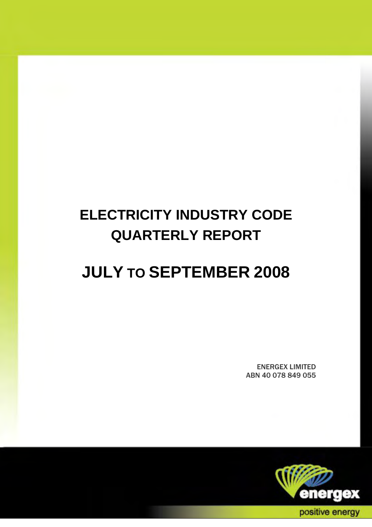# **ELECTRICITY INDUSTRY CODE QUARTERLY REPORT**

## **JULY TO SEPTEMBER 2008**

ENERGEX LIMITED ABN 40 078 849 055

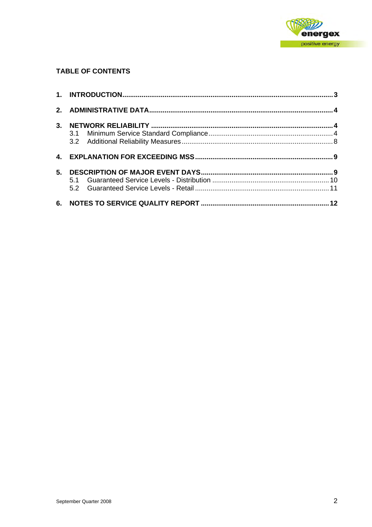

## **TABLE OF CONTENTS**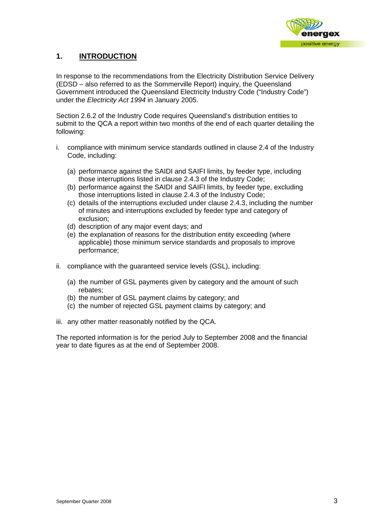

## <span id="page-2-0"></span>**1. INTRODUCTION**

In response to the recommendations from the Electricity Distribution Service Delivery (EDSD – also referred to as the Sommerville Report) inquiry, the Queensland Government introduced the Queensland Electricity Industry Code ("Industry Code") under the *Electricity Act 1994* in January 2005.

Section 2.6.2 of the Industry Code requires Queensland's distribution entities to submit to the QCA a report within two months of the end of each quarter detailing the following:

- i. compliance with minimum service standards outlined in clause 2.4 of the Industry Code, including:
	- (a) performance against the SAIDI and SAIFI limits, by feeder type, including those interruptions listed in clause 2.4.3 of the Industry Code;
	- (b) performance against the SAIDI and SAIFI limits, by feeder type, excluding those interruptions listed in clause 2.4.3 of the Industry Code;
	- (c) details of the interruptions excluded under clause 2.4.3, including the number of minutes and interruptions excluded by feeder type and category of exclusion;
	- (d) description of any major event days; and
	- (e) the explanation of reasons for the distribution entity exceeding (where applicable) those minimum service standards and proposals to improve performance;
- ii. compliance with the guaranteed service levels (GSL), including:
	- (a) the number of GSL payments given by category and the amount of such rebates;
	- (b) the number of GSL payment claims by category; and
	- (c) the number of rejected GSL payment claims by category; and
- iii. any other matter reasonably notified by the QCA.

The reported information is for the period July to September 2008 and the financial year to date figures as at the end of September 2008.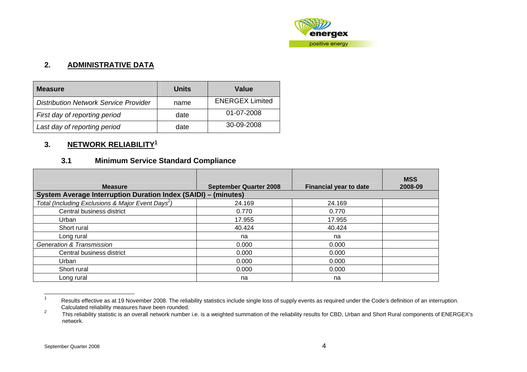

### **2. ADMINISTRATIVE DATA**

| <b>Measure</b>                               | Units | Value                  |
|----------------------------------------------|-------|------------------------|
| <b>Distribution Network Service Provider</b> | name  | <b>ENERGEX Limited</b> |
| First day of reporting period                | date  | 01-07-2008             |
| Last day of reporting period                 | date  | 30-09-2008             |

## **3. NETWORK RELIABILITY[1](#page-3-1)**

## **3.1 Minimum Service Standard Compliance**

| <b>Measure</b>                                                        | <b>September Quarter 2008</b> | <b>Financial year to date</b> | <b>MSS</b><br>2008-09 |
|-----------------------------------------------------------------------|-------------------------------|-------------------------------|-----------------------|
| <b>System Average Interruption Duration Index (SAIDI) - (minutes)</b> |                               |                               |                       |
| Total (Including Exclusions & Major Event Days <sup>2</sup> )         | 24.169                        | 24.169                        |                       |
| Central business district                                             | 0.770                         | 0.770                         |                       |
| Urban                                                                 | 17.955                        | 17.955                        |                       |
| Short rural                                                           | 40.424                        | 40.424                        |                       |
| Long rural                                                            | na                            | na                            |                       |
| <b>Generation &amp; Transmission</b>                                  | 0.000                         | 0.000                         |                       |
| Central business district                                             | 0.000                         | 0.000                         |                       |
| Urban                                                                 | 0.000                         | 0.000                         |                       |
| Short rural                                                           | 0.000                         | 0.000                         |                       |
| Long rural                                                            | na                            | na                            |                       |

<sup>1</sup> Results effective as at 19 November 2008. The reliability statistics include single loss of supply events as required under the Code's definition of an interruption. Calculated reliability measures have been rounded.<br><sup>2</sup> This reliability statistic is an everall patually pumber

<span id="page-3-2"></span><span id="page-3-1"></span><span id="page-3-0"></span>This reliability statistic is an overall network number i.e. is a weighted summation of the reliability results for CBD, Urban and Short Rural components of ENERGEX's network.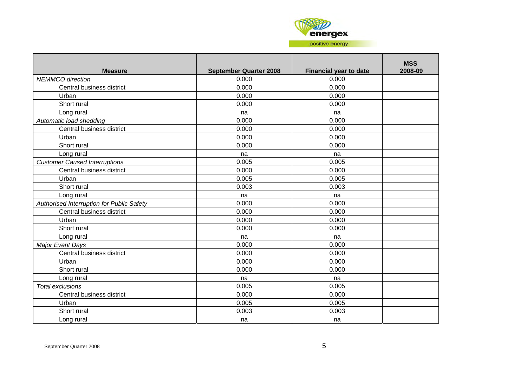

| <b>Measure</b>                            | <b>September Quarter 2008</b> | <b>Financial year to date</b> | <b>MSS</b><br>2008-09 |
|-------------------------------------------|-------------------------------|-------------------------------|-----------------------|
| NEMMCO direction                          | 0.000                         | 0.000                         |                       |
| Central business district                 | 0.000                         | 0.000                         |                       |
| Urban                                     | 0.000                         | 0.000                         |                       |
| Short rural                               | 0.000                         | 0.000                         |                       |
| Long rural                                | na                            | na                            |                       |
| Automatic load shedding                   | 0.000                         | 0.000                         |                       |
| Central business district                 | 0.000                         | 0.000                         |                       |
| Urban                                     | 0.000                         | 0.000                         |                       |
| Short rural                               | 0.000                         | 0.000                         |                       |
| Long rural                                | na                            | na                            |                       |
| <b>Customer Caused Interruptions</b>      | 0.005                         | 0.005                         |                       |
| Central business district                 | 0.000                         | 0.000                         |                       |
| Urban                                     | 0.005                         | 0.005                         |                       |
| Short rural                               | 0.003                         | 0.003                         |                       |
| Long rural                                | na                            | na                            |                       |
| Authorised Interruption for Public Safety | 0.000                         | 0.000                         |                       |
| Central business district                 | 0.000                         | 0.000                         |                       |
| Urban                                     | 0.000                         | 0.000                         |                       |
| Short rural                               | 0.000                         | 0.000                         |                       |
| Long rural                                | na                            | na                            |                       |
| <b>Major Event Days</b>                   | 0.000                         | 0.000                         |                       |
| Central business district                 | 0.000                         | 0.000                         |                       |
| Urban                                     | 0.000                         | 0.000                         |                       |
| Short rural                               | 0.000                         | 0.000                         |                       |
| Long rural                                | na                            | na                            |                       |
| <b>Total exclusions</b>                   | 0.005                         | 0.005                         |                       |
| Central business district                 | 0.000                         | 0.000                         |                       |
| Urban                                     | 0.005                         | 0.005                         |                       |
| Short rural                               | 0.003                         | 0.003                         |                       |
| Long rural                                | na                            | na                            |                       |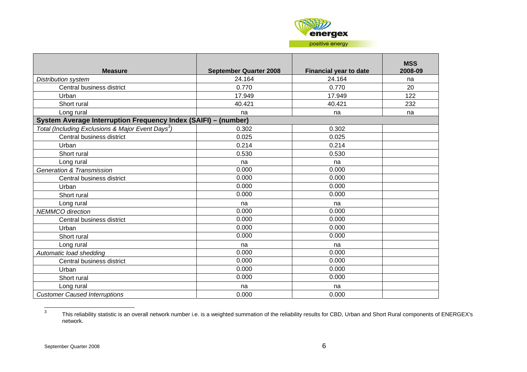

| <b>Measure</b>                                                 | <b>September Quarter 2008</b> | <b>Financial year to date</b> | <b>MSS</b><br>2008-09 |
|----------------------------------------------------------------|-------------------------------|-------------------------------|-----------------------|
| <b>Distribution system</b>                                     | 24.164                        | 24.164                        | na                    |
| Central business district                                      | 0.770                         | 0.770                         | 20                    |
| Urban                                                          | 17.949                        | 17.949                        | 122                   |
| Short rural                                                    | 40.421                        | 40.421                        | 232                   |
| Long rural                                                     | na                            | na                            | na                    |
| System Average Interruption Frequency Index (SAIFI) - (number) |                               |                               |                       |
| Total (Including Exclusions & Major Event Days <sup>3</sup> )  | 0.302                         | 0.302                         |                       |
| Central business district                                      | 0.025                         | 0.025                         |                       |
| Urban                                                          | 0.214                         | 0.214                         |                       |
| Short rural                                                    | 0.530                         | 0.530                         |                       |
| Long rural                                                     | na                            | na                            |                       |
| <b>Generation &amp; Transmission</b>                           | 0.000                         | 0.000                         |                       |
| Central business district                                      | 0.000                         | 0.000                         |                       |
| Urban                                                          | 0.000                         | 0.000                         |                       |
| Short rural                                                    | 0.000                         | 0.000                         |                       |
| Long rural                                                     | na                            | na                            |                       |
| <b>NEMMCO</b> direction                                        | 0.000                         | 0.000                         |                       |
| Central business district                                      | 0.000                         | 0.000                         |                       |
| Urban                                                          | 0.000                         | 0.000                         |                       |
| Short rural                                                    | 0.000                         | 0.000                         |                       |
| Long rural                                                     | na                            | na                            |                       |
| Automatic load shedding                                        | 0.000                         | 0.000                         |                       |
| Central business district                                      | 0.000                         | 0.000                         |                       |
| Urban                                                          | 0.000                         | 0.000                         |                       |
| Short rural                                                    | 0.000                         | 0.000                         |                       |
| Long rural                                                     | na                            | na                            |                       |
| <b>Customer Caused Interruptions</b>                           | 0.000                         | 0.000                         |                       |

<span id="page-5-0"></span><sup>3</sup> This reliability statistic is an overall network number i.e. is a weighted summation of the reliability results for CBD, Urban and Short Rural components of ENERGEX's network.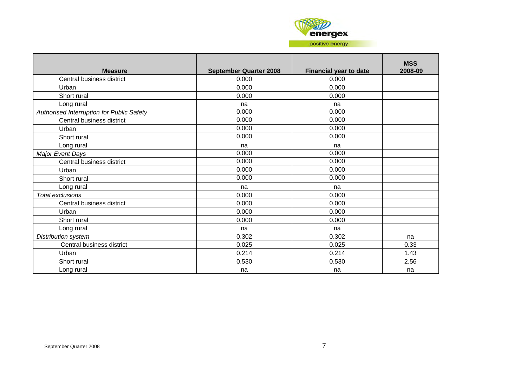

| <b>Measure</b>                            | <b>September Quarter 2008</b> | <b>Financial year to date</b> | <b>MSS</b><br>2008-09 |
|-------------------------------------------|-------------------------------|-------------------------------|-----------------------|
| Central business district                 | 0.000                         | 0.000                         |                       |
| Urban                                     | 0.000                         | 0.000                         |                       |
| Short rural                               | 0.000                         | 0.000                         |                       |
| Long rural                                | na                            | na                            |                       |
| Authorised Interruption for Public Safety | 0.000                         | 0.000                         |                       |
| Central business district                 | 0.000                         | 0.000                         |                       |
| Urban                                     | 0.000                         | 0.000                         |                       |
| Short rural                               | 0.000                         | 0.000                         |                       |
| Long rural                                | na                            | na                            |                       |
| Major Event Days                          | 0.000                         | 0.000                         |                       |
| Central business district                 | 0.000                         | 0.000                         |                       |
| Urban                                     | 0.000                         | 0.000                         |                       |
| Short rural                               | 0.000                         | 0.000                         |                       |
| Long rural                                | na                            | na                            |                       |
| <b>Total exclusions</b>                   | 0.000                         | 0.000                         |                       |
| Central business district                 | 0.000                         | 0.000                         |                       |
| Urban                                     | 0.000                         | 0.000                         |                       |
| Short rural                               | 0.000                         | 0.000                         |                       |
| Long rural                                | na                            | na                            |                       |
| <b>Distribution system</b>                | 0.302                         | 0.302                         | na                    |
| Central business district                 | 0.025                         | 0.025                         | 0.33                  |
| Urban                                     | 0.214                         | 0.214                         | 1.43                  |
| Short rural                               | 0.530                         | 0.530                         | 2.56                  |
| Long rural                                | na                            | na                            | na                    |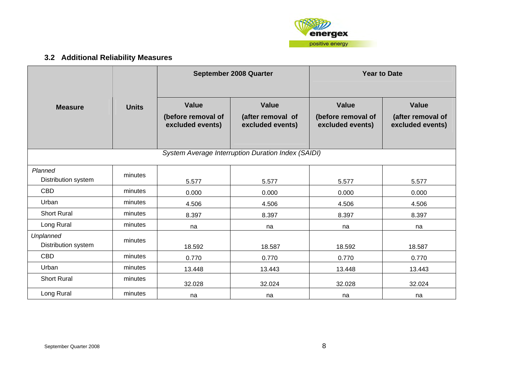

## **3.2 Additional Reliability Measures**

<span id="page-7-0"></span>

|                                  |              |                                                        | September 2008 Quarter                                | <b>Year to Date</b>                                                                                             |        |  |
|----------------------------------|--------------|--------------------------------------------------------|-------------------------------------------------------|-----------------------------------------------------------------------------------------------------------------|--------|--|
| <b>Measure</b>                   | <b>Units</b> | <b>Value</b><br>(before removal of<br>excluded events) | <b>Value</b><br>(after removal of<br>excluded events) | <b>Value</b><br><b>Value</b><br>(before removal of<br>(after removal of<br>excluded events)<br>excluded events) |        |  |
|                                  |              |                                                        | System Average Interruption Duration Index (SAIDI)    |                                                                                                                 |        |  |
| Planned<br>Distribution system   | minutes      | 5.577                                                  | 5.577                                                 | 5.577                                                                                                           | 5.577  |  |
| <b>CBD</b>                       | minutes      | 0.000                                                  | 0.000                                                 | 0.000                                                                                                           | 0.000  |  |
| Urban                            | minutes      | 4.506                                                  | 4.506                                                 | 4.506                                                                                                           | 4.506  |  |
| <b>Short Rural</b>               | minutes      | 8.397                                                  | 8.397                                                 | 8.397                                                                                                           | 8.397  |  |
| Long Rural                       | minutes      | na                                                     | na                                                    | na                                                                                                              | na     |  |
| Unplanned<br>Distribution system | minutes      | 18.592                                                 | 18.587                                                | 18.592                                                                                                          | 18.587 |  |
| <b>CBD</b>                       | minutes      | 0.770                                                  | 0.770                                                 | 0.770                                                                                                           | 0.770  |  |
| Urban                            | minutes      | 13.448                                                 | 13.443                                                | 13.448                                                                                                          | 13.443 |  |
| <b>Short Rural</b>               | minutes      | 32.028                                                 | 32.024                                                | 32.028                                                                                                          | 32.024 |  |
| Long Rural                       | minutes      | na                                                     | na                                                    | na                                                                                                              | na     |  |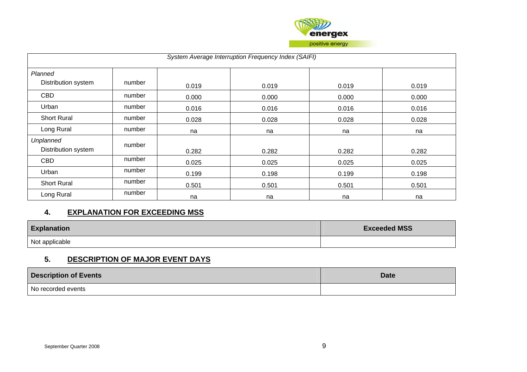

| System Average Interruption Frequency Index (SAIFI) |        |       |       |       |       |  |  |
|-----------------------------------------------------|--------|-------|-------|-------|-------|--|--|
| Planned                                             |        |       |       |       |       |  |  |
| Distribution system                                 | number | 0.019 | 0.019 | 0.019 | 0.019 |  |  |
| <b>CBD</b>                                          | number | 0.000 | 0.000 | 0.000 | 0.000 |  |  |
| Urban                                               | number | 0.016 | 0.016 | 0.016 | 0.016 |  |  |
| <b>Short Rural</b>                                  | number | 0.028 | 0.028 | 0.028 | 0.028 |  |  |
| Long Rural                                          | number | na    | na    | na    | na    |  |  |
| Unplanned<br>Distribution system                    | number | 0.282 | 0.282 | 0.282 | 0.282 |  |  |
| <b>CBD</b>                                          | number | 0.025 | 0.025 | 0.025 | 0.025 |  |  |
| Urban                                               | number | 0.199 | 0.198 | 0.199 | 0.198 |  |  |
| <b>Short Rural</b>                                  | number | 0.501 | 0.501 | 0.501 | 0.501 |  |  |
| Long Rural                                          | number | na    | na    | na    | na    |  |  |

### **4. EXPLANATION FOR EXCEEDING MSS**

| <b>Explanation</b> | <b>Exceeded MSS</b> |
|--------------------|---------------------|
| Not applicable     |                     |

## **5. DESCRIPTION OF MAJOR EVENT DAYS**

<span id="page-8-0"></span>

| <b>Description of Events</b> | <b>Date</b> |
|------------------------------|-------------|
| No recorded events           |             |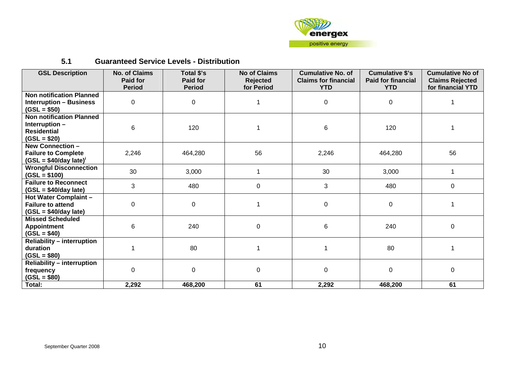

#### **5.1 Guaranteed Service Levels - Distribution**

<span id="page-9-0"></span>

| <b>GSL Description</b>                                                                       | <b>No. of Claims</b><br><b>Paid for</b><br><b>Period</b> | Total \$'s<br><b>Paid for</b><br><b>Period</b> | <b>No of Claims</b><br>Rejected<br>for Period | <b>Cumulative No. of</b><br><b>Claims for financial</b><br><b>YTD</b> | <b>Cumulative \$'s</b><br><b>Paid for financial</b><br><b>YTD</b> | <b>Cumulative No of</b><br><b>Claims Rejected</b><br>for financial YTD |
|----------------------------------------------------------------------------------------------|----------------------------------------------------------|------------------------------------------------|-----------------------------------------------|-----------------------------------------------------------------------|-------------------------------------------------------------------|------------------------------------------------------------------------|
| <b>Non notification Planned</b><br><b>Interruption - Business</b><br>$(GSL = $50)$           | 0                                                        | 0                                              |                                               | 0                                                                     | 0                                                                 |                                                                        |
| <b>Non notification Planned</b><br>Interruption -<br><b>Residential</b><br>$(GSL = $20)$     | 6                                                        | 120                                            |                                               | 6                                                                     | 120                                                               | 1                                                                      |
| <b>New Connection -</b><br><b>Failure to Complete</b><br>$(GSL = $40/day$ late) <sup>i</sup> | 2,246                                                    | 464,280                                        | 56                                            | 2,246                                                                 | 464,280                                                           | 56                                                                     |
| <b>Wrongful Disconnection</b><br>$(GSL = $100)$                                              | 30                                                       | 3,000                                          | 1                                             | 30                                                                    | 3,000                                                             | 1                                                                      |
| <b>Failure to Reconnect</b><br>$(GSL = $40/day$ late)                                        | 3                                                        | 480                                            | 0                                             | 3                                                                     | 480                                                               | $\mathbf 0$                                                            |
| Hot Water Complaint -<br><b>Failure to attend</b><br>$(GSL = $40/day$ late)                  | 0                                                        | $\mathsf 0$                                    |                                               | 0                                                                     | $\mathbf 0$                                                       | 1                                                                      |
| <b>Missed Scheduled</b><br><b>Appointment</b><br>$(GSL = $40)$                               | 6                                                        | 240                                            | 0                                             | 6                                                                     | 240                                                               | 0                                                                      |
| <b>Reliability - interruption</b><br>duration<br>$(GSL = $80)$                               |                                                          | 80                                             |                                               |                                                                       | 80                                                                | 1                                                                      |
| <b>Reliability - interruption</b><br>frequency<br>$(GSL = $80)$                              | $\Omega$                                                 | $\Omega$                                       | 0                                             | 0                                                                     | 0                                                                 | $\Omega$                                                               |
| Total:                                                                                       | 2,292                                                    | 468,200                                        | 61                                            | 2,292                                                                 | 468,200                                                           | 61                                                                     |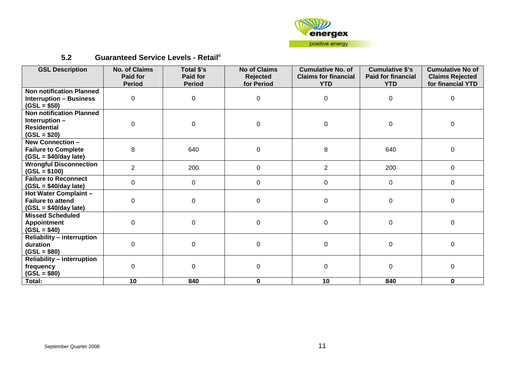

## **5.2 Guaranteed Service Levels - Retail[ii](#page-11-2)**

<span id="page-10-0"></span>

| <b>GSL Description</b>                                                             | <b>No. of Claims</b><br><b>Paid for</b><br><b>Period</b> | Total \$'s<br>Paid for<br><b>Period</b> | <b>No of Claims</b><br><b>Rejected</b><br>for Period | <b>Cumulative No. of</b><br><b>Claims for financial</b><br><b>YTD</b> | <b>Cumulative \$'s</b><br><b>Paid for financial</b><br><b>YTD</b> | <b>Cumulative No of</b><br><b>Claims Rejected</b><br>for financial YTD |
|------------------------------------------------------------------------------------|----------------------------------------------------------|-----------------------------------------|------------------------------------------------------|-----------------------------------------------------------------------|-------------------------------------------------------------------|------------------------------------------------------------------------|
| <b>Non notification Planned</b><br><b>Interruption - Business</b>                  | 0                                                        | 0                                       | $\mathbf 0$                                          | 0                                                                     | 0                                                                 | 0                                                                      |
| $(GSL = $50)$<br><b>Non notification Planned</b><br>Interruption -                 |                                                          |                                         |                                                      |                                                                       |                                                                   |                                                                        |
| <b>Residential</b><br>$(GSL = $20)$                                                | $\mathbf 0$                                              | $\mathbf 0$                             | $\pmb{0}$                                            | 0                                                                     | $\mathbf 0$                                                       | $\pmb{0}$                                                              |
| <b>New Connection -</b><br><b>Failure to Complete</b><br>$(GSL = $40/day$ late)    | 8                                                        | 640                                     | $\pmb{0}$                                            | 8                                                                     | 640                                                               | $\mathbf 0$                                                            |
| <b>Wrongful Disconnection</b><br>$(GSL = $100)$                                    | $\overline{2}$                                           | 200                                     | $\mathsf 0$                                          | $\overline{2}$                                                        | 200                                                               | $\mathbf 0$                                                            |
| <b>Failure to Reconnect</b><br>$(GSL = $40/day$ late)                              | 0                                                        | $\overline{0}$                          | $\mathbf 0$                                          | $\mathbf 0$                                                           | $\mathbf 0$                                                       | $\mathbf 0$                                                            |
| <b>Hot Water Complaint -</b><br><b>Failure to attend</b><br>$(GSL = $40/day$ late) | $\Omega$                                                 | $\Omega$                                | $\mathsf 0$                                          | 0                                                                     | $\mathbf 0$                                                       | $\mathbf 0$                                                            |
| <b>Missed Scheduled</b><br><b>Appointment</b><br>$(GSL = $40)$                     | 0                                                        | $\mathbf 0$                             | $\pmb{0}$                                            | $\pmb{0}$                                                             | $\mathbf 0$                                                       | $\mathbf 0$                                                            |
| <b>Reliability - interruption</b><br>duration<br>$(GSL = $80)$                     | $\Omega$                                                 | $\overline{0}$                          | $\mathsf 0$                                          | $\mathbf 0$                                                           | $\mathbf 0$                                                       | $\mathbf 0$                                                            |
| <b>Reliability - interruption</b><br>frequency<br>$(GSL = $80)$                    | $\Omega$                                                 | $\Omega$                                | $\mathsf 0$                                          | $\mathbf 0$                                                           | $\mathbf 0$                                                       | $\mathbf 0$                                                            |
| Total:                                                                             | 10                                                       | 840                                     | $\mathbf 0$                                          | 10                                                                    | 840                                                               | $\mathbf 0$                                                            |